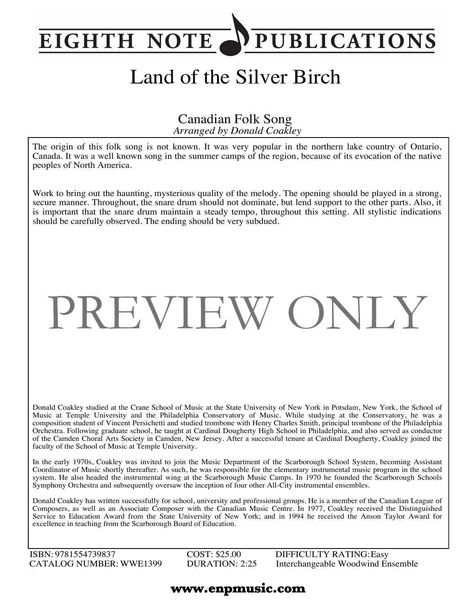### PUBLICATIONS **EIGHTH NOTE**

## Land of the Silver Birch

*Arranged by Donald Coakley* Canadian Folk Song

The origin of this folk song is not known. It was very popular in the northern lake country of Ontario, Canada. It was a well known song in the summer camps of the region, because of its evocation of the native peoples of North America.

Work to bring out the haunting, mysterious quality of the melody. The opening should be played in a strong, secure manner. Throughout, the snare drum should not dominate, but lend support to the other parts. Also, it is important that the snare drum maintain a steady tempo, throughout this setting. All stylistic indications should be carefully observed. The ending should be very subdued.

# PREVIEW ONLY

Donald Coakley studied at the Crane School of Music at the State University of New York in Potsdam, New York, the School of Music at Temple University and the Philadelphia Conservatory of Music. While studying at the Conservatory, he was a composition student of Vincent Persichetti and studied trombone with Henry Charles Smith, principal trombone of the Philadelphia Orchestra. Following graduate school, he taught at Cardinal Dougherty High School in Philadelphia, and also served as conductor of the Camden Choral Arts Society in Camden, New Jersey. After a successful tenure at Cardinal Dougherty, Coakley joined the faculty of the School of Music at Temple University.

In the early 1970s, Coakley was invited to join the Music Department of the Scarborough School System, becoming Assistant Coordinator of Music shortly thereafter. As such, he was responsible for the elementary instrumental music program in the school system. He also headed the instrumental wing at the Scarborough Music Camps. In 1970 he founded the Scarborough Schools Symphony Orchestra and subsequently oversaw the inception of four other All-City instrumental ensembles.

Donald Coakley has written successfully for school, university and professional groups. He is a member of the Canadian League of Composers, as well as an Associate Composer with the Canadian Music Centre. In 1977, Coakley received the Distinguished Service to Education Award from the State University of New York; and in 1994 he received the Anson Taylor Award for excellence in teaching from the Scarborough Board of Education.

ISBN: 9781554739837 CATALOG NUMBER: WWE1399 COST: \$25.00 DURATION: 2:25 DIFFICULTY RATING:Easy Interchangeable Woodwind Ensemble

### **www.enpmusic.com**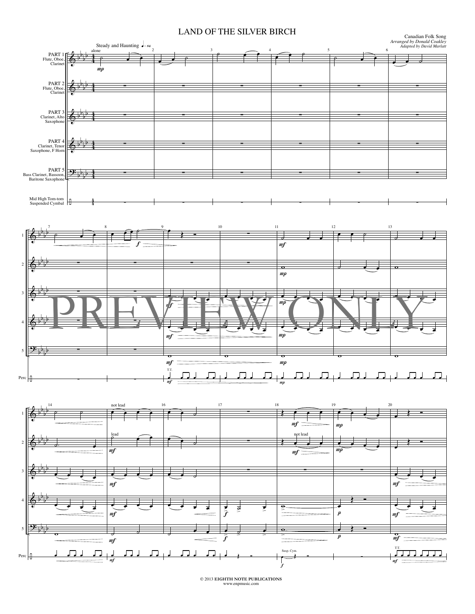#### LAND OF THE SILVER BIRCH



© 2013 **EIGHTH NOTE PUBLICATIONS** www.enpmusic.com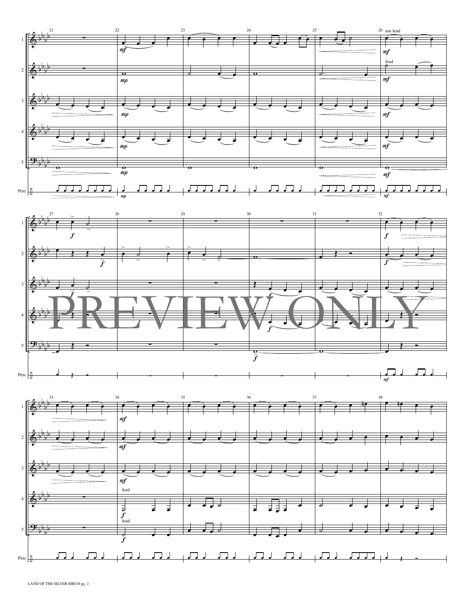



LAND OF THE SILVER BIRCH pg. 2